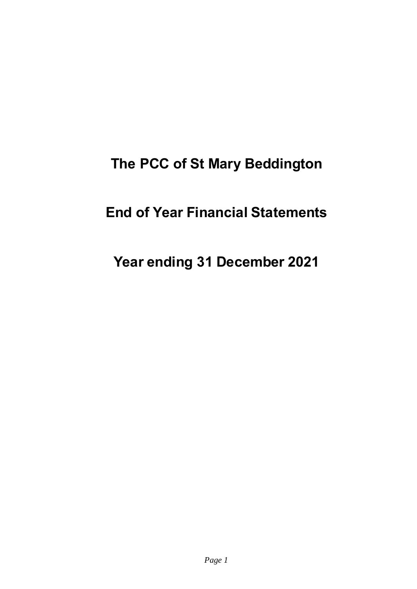# **The PCC of St Mary Beddington**

# **End of Year Financial Statements**

# **Year ending 31 December 2021**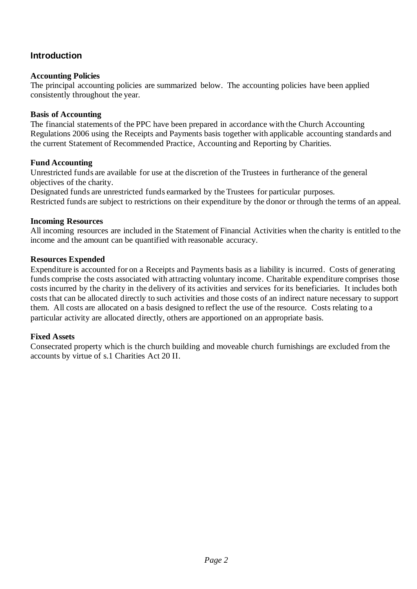### **Introduction**

#### **Accounting Policies**

The principal accounting policies are summarized below. The accounting policies have been applied consistently throughout the year.

#### **Basis of Accounting**

The financial statements of the PPC have been prepared in accordance with the Church Accounting Regulations 2006 using the Receipts and Payments basis together with applicable accounting standards and the current Statement of Recommended Practice, Accounting and Reporting by Charities.

#### **Fund Accounting**

Unrestricted funds are available for use at the discretion of the Trustees in furtherance of the general objectives of the charity.

Designated funds are unrestricted funds earmarked by the Trustees for particular purposes. Restricted funds are subject to restrictions on their expenditure by the donor or through the terms of an appeal.

#### **Incoming Resources**

All incoming resources are included in the Statement of Financial Activities when the charity is entitled to the income and the amount can be quantified with reasonable accuracy.

#### **Resources Expended**

Expenditure is accounted for on a Receipts and Payments basis as a liability is incurred. Costs of generating funds comprise the costs associated with attracting voluntary income. Charitable expenditure comprises those costs incurred by the charity in the delivery of its activities and services for its beneficiaries. It includes both costs that can be allocated directly to such activities and those costs of an indirect nature necessary to support them. All costs are allocated on a basis designed to reflect the use of the resource. Costs relating to a particular activity are allocated directly, others are apportioned on an appropriate basis.

#### **Fixed Assets**

Consecrated property which is the church building and moveable church furnishings are excluded from the accounts by virtue of s.1 Charities Act 20 II.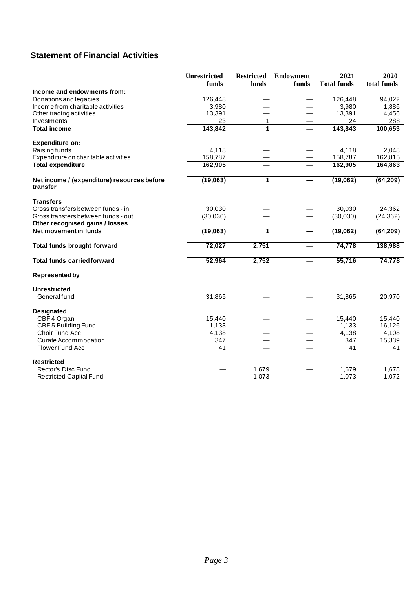## **Statement of Financial Activities**

|                                                                        | <b>Unrestricted</b> | <b>Restricted</b> | <b>Endowment</b> | 2021               | 2020        |
|------------------------------------------------------------------------|---------------------|-------------------|------------------|--------------------|-------------|
|                                                                        | funds               | funds             | funds            | <b>Total funds</b> | total funds |
| Income and endowments from:                                            |                     |                   |                  |                    |             |
| Donations and legacies                                                 | 126,448             |                   |                  | 126,448            | 94,022      |
| Income from charitable activities                                      | 3,980               |                   |                  | 3,980              | 1,886       |
| Other trading activities                                               | 13,391              |                   |                  | 13,391             | 4,456       |
| Investments                                                            | 23                  | $\mathbf{1}$      |                  | 24                 | 288         |
| <b>Total income</b>                                                    | 143,842             | 1                 |                  | 143,843            | 100,653     |
| <b>Expenditure on:</b>                                                 |                     |                   |                  |                    |             |
| Raising funds                                                          | 4,118               |                   |                  | 4,118              | 2,048       |
| Expenditure on charitable activities                                   | 158,787             |                   |                  | 158,787            | 162,815     |
| <b>Total expenditure</b>                                               | 162,905             |                   |                  | 162,905            | 164,863     |
| Net income / (expenditure) resources before<br>transfer                | (19,063)            | 1                 |                  | (19,062)           | (64, 209)   |
| <b>Transfers</b>                                                       |                     |                   |                  |                    |             |
| Gross transfers between funds - in                                     | 30,030              |                   |                  | 30,030             | 24,362      |
| Gross transfers between funds - out<br>Other recognised gains / losses | (30,030)            |                   |                  | (30,030)           | (24, 362)   |
| Net movement in funds                                                  | (19,063)            | $\mathbf{1}$      |                  | (19,062)           | (64, 209)   |
| Total funds brought forward                                            | 72,027              | 2,751             |                  | 74,778             | 138,988     |
| <b>Total funds carried forward</b>                                     | 52,964              | 2,752             |                  | 55,716             | 74,778      |
| <b>Represented by</b>                                                  |                     |                   |                  |                    |             |
| <b>Unrestricted</b>                                                    |                     |                   |                  |                    |             |
| General fund                                                           | 31,865              |                   |                  | 31,865             | 20,970      |
| <b>Designated</b>                                                      |                     |                   |                  |                    |             |
| CBF 4 Organ                                                            | 15,440              |                   |                  | 15,440             | 15,440      |
| CBF 5 Building Fund                                                    | 1,133               |                   |                  | 1,133              | 16,126      |
| Choir Fund Acc                                                         | 4,138               |                   |                  | 4,138              | 4,108       |
| <b>Curate Accommodation</b>                                            | 347                 |                   |                  | 347                | 15,339      |
| <b>Flower Fund Acc</b>                                                 | 41                  |                   |                  | 41                 | 41          |
| <b>Restricted</b>                                                      |                     |                   |                  |                    |             |
| Rector's Disc Fund                                                     |                     | 1,679             |                  | 1,679              | 1,678       |
| <b>Restricted Capital Fund</b>                                         |                     | 1,073             |                  | 1,073              | 1,072       |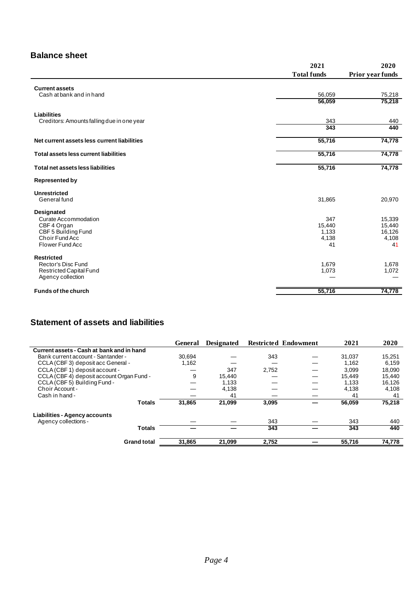### **Balance sheet**

|                                                   | 2021               | 2020             |
|---------------------------------------------------|--------------------|------------------|
|                                                   | <b>Total funds</b> | Prior year funds |
|                                                   |                    |                  |
| <b>Current assets</b><br>Cash at bank and in hand | 56,059             | 75,218           |
|                                                   | 56,059             | 75,218           |
|                                                   |                    |                  |
| Liabilities                                       |                    |                  |
| Creditors: Amounts falling due in one year        | 343<br>343         | 440<br>440       |
|                                                   |                    |                  |
| Net current assets less current liabilities       | 55,716             | 74,778           |
| Total assets less current liabilities             | 55,716             | 74,778           |
|                                                   |                    |                  |
| Total net assets less liabilities                 | 55,716             | 74,778           |
| <b>Represented by</b>                             |                    |                  |
| <b>Unrestricted</b>                               |                    |                  |
| General fund                                      | 31,865             | 20,970           |
| Designated                                        |                    |                  |
| Curate Accommodation                              | 347                | 15,339           |
| CBF 4 Organ                                       | 15,440             | 15,440           |
| CBF 5 Building Fund                               | 1,133              | 16,126           |
| Choir Fund Acc                                    | 4,138              | 4,108            |
| Flower Fund Acc                                   | 41                 | 41               |
| <b>Restricted</b>                                 |                    |                  |
| Rector's Disc Fund                                | 1,679              | 1,678            |
| Restricted Capital Fund                           | 1,073              | 1,072            |
| Agency collection                                 |                    |                  |
| <b>Funds of the church</b>                        | 55,716             | 74,778           |

### **Statement of assets and liabilities**

|                                           | General | <b>Designated</b> |       | <b>Restricted Endowment</b> | 2021   | 2020   |
|-------------------------------------------|---------|-------------------|-------|-----------------------------|--------|--------|
| Current assets - Cash at bank and in hand |         |                   |       |                             |        |        |
| Bank current account - Santander -        | 30.694  |                   | 343   |                             | 31.037 | 15,251 |
| CCLA (CBF 3) deposit acc General -        | 1,162   |                   |       |                             | 1.162  | 6.159  |
| CCLA (CBF 1) deposit account -            |         | 347               | 2,752 |                             | 3.099  | 18.090 |
| CCLA (CBF 4) deposit account Organ Fund - | 9       | 15.440            |       |                             | 15.449 | 15,440 |
| CCLA (CBF 5) Building Fund -              |         | 1,133             |       |                             | 1,133  | 16,126 |
| Choir Account -                           |         | 4,138             |       |                             | 4.138  | 4.108  |
| Cash in hand -                            |         | 41                |       |                             | 41     | 41     |
| <b>Totals</b>                             | 31,865  | 21.099            | 3,095 |                             | 56,059 | 75,218 |
| Liabilities - Agency accounts             |         |                   |       |                             |        |        |
| Agency collections -                      |         |                   | 343   |                             | 343    | 440    |
| <b>Totals</b>                             |         |                   | 343   |                             | 343    | 440    |
| <b>Grand total</b>                        | 31,865  | 21,099            | 2,752 |                             | 55,716 | 74,778 |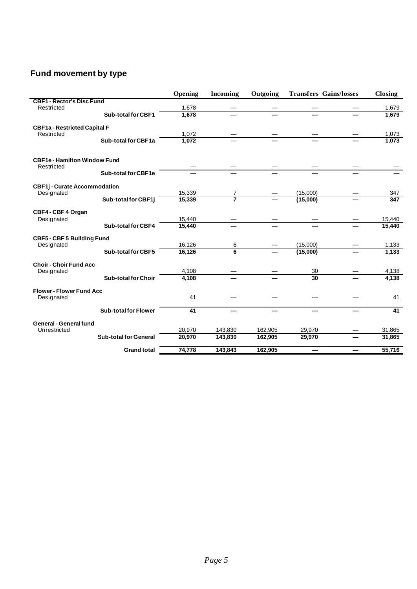# **Fund movement by type**

|                                                   |                              | Opening | <b>Incoming</b> | Outgoing | <b>Transfers Gains/losses</b> | Closing |
|---------------------------------------------------|------------------------------|---------|-----------------|----------|-------------------------------|---------|
| <b>CBF1 - Rector's Disc Fund</b>                  |                              |         |                 |          |                               |         |
| Restricted                                        |                              | 1,678   |                 |          |                               | 1,679   |
|                                                   | <b>Sub-total for CBF1</b>    | 1,678   |                 |          |                               | 1,679   |
| <b>CBF1a - Restricted Capital F</b>               |                              |         |                 |          |                               |         |
| Restricted                                        |                              | 1.072   |                 |          |                               | 1,073   |
|                                                   | Sub-total for CBF1a          | 1,072   |                 |          |                               | 1,073   |
| <b>CBF1e - Hamilton Window Fund</b><br>Restricted |                              |         |                 |          |                               |         |
|                                                   | Sub-total for CBF1e          |         |                 |          |                               |         |
|                                                   |                              |         |                 |          |                               |         |
| <b>CBF1j-Curate Accommodation</b>                 |                              |         |                 |          |                               |         |
| Designated                                        |                              | 15,339  |                 |          | (15,000)                      | 347     |
|                                                   | Sub-total for CBF1j          | 15,339  | 7               |          | (15,000)                      | 347     |
| CBF4-CBF4 Organ                                   |                              |         |                 |          |                               |         |
| Designated                                        |                              | 15,440  |                 |          |                               | 15,440  |
|                                                   | <b>Sub-total for CBF4</b>    | 15,440  |                 |          |                               | 15,440  |
| <b>CBF5-CBF5 Building Fund</b>                    |                              |         |                 |          |                               |         |
| Designated                                        |                              | 16,126  | 6               |          | (15,000)                      | 1,133   |
|                                                   | <b>Sub-total for CBF5</b>    | 16,126  | $\overline{6}$  |          | (15,000)                      | 1,133   |
| <b>Choir - Choir Fund Acc</b>                     |                              |         |                 |          |                               |         |
| Designated                                        |                              | 4,108   |                 |          | 30                            | 4,138   |
|                                                   | <b>Sub-total for Choir</b>   | 4.108   |                 |          | 30                            | 4,138   |
| <b>Flower - Flower Fund Acc</b>                   |                              |         |                 |          |                               |         |
| Designated                                        |                              | 41      |                 |          |                               | 41      |
|                                                   | <b>Sub-total for Flower</b>  | 41      |                 |          |                               | 41      |
| General - General fund                            |                              |         |                 |          |                               |         |
| Unrestricted                                      |                              | 20,970  | 143,830         | 162,905  | 29,970                        | 31,865  |
|                                                   | <b>Sub-total for General</b> | 20,970  | 143,830         | 162,905  | 29,970                        | 31,865  |
|                                                   | <b>Grand total</b>           | 74,778  | 143,843         | 162,905  |                               | 55,716  |
|                                                   |                              |         |                 |          |                               |         |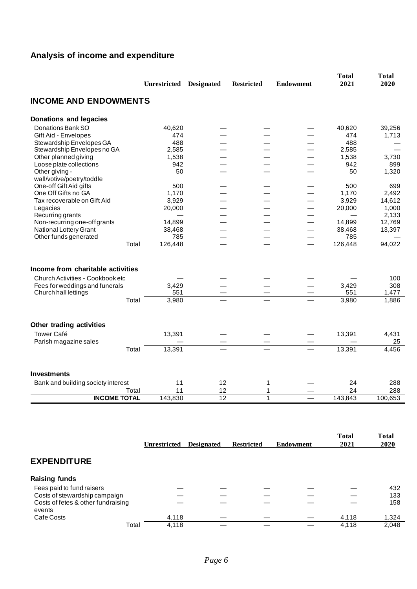# **Analysis of income and expenditure**

|                                                                       |       |                     |                   |                   |                          | <b>Total</b><br>2021 | <b>Total</b><br>2020 |
|-----------------------------------------------------------------------|-------|---------------------|-------------------|-------------------|--------------------------|----------------------|----------------------|
|                                                                       |       | <b>Unrestricted</b> | <b>Designated</b> | <b>Restricted</b> | <b>Endowment</b>         |                      |                      |
| <b>INCOME AND ENDOWMENTS</b>                                          |       |                     |                   |                   |                          |                      |                      |
| <b>Donations and legacies</b>                                         |       |                     |                   |                   |                          |                      |                      |
| Donations Bank SO                                                     |       | 40,620              |                   |                   |                          | 40,620               | 39,256               |
| Gift Aid - Envelopes                                                  |       | 474                 |                   |                   |                          | 474                  | 1,713                |
| Stewardship Envelopes GA                                              |       | 488                 |                   |                   |                          | 488                  |                      |
| Stewardship Envelopes no GA                                           |       | 2,585               |                   |                   |                          | 2,585                |                      |
| Other planned giving                                                  |       | 1,538               |                   |                   |                          | 1,538                | 3,730                |
| Loose plate collections                                               |       | 942                 |                   |                   |                          | 942                  | 899                  |
| Other giving -                                                        |       | 50                  |                   |                   |                          | 50                   | 1,320                |
| wall/votive/poetry/toddle                                             |       |                     |                   |                   |                          |                      |                      |
| One-off Gift Aid gifts                                                |       | 500                 |                   |                   |                          | 500                  | 699                  |
| One Off Gifts no GA                                                   |       | 1,170               |                   |                   |                          | 1,170                | 2,492                |
| Tax recoverable on Gift Aid                                           |       | 3,929               |                   |                   |                          | 3,929                | 14,612               |
| Legacies                                                              |       | 20,000              |                   |                   |                          | 20,000               | 1,000                |
| Recurring grants                                                      |       |                     |                   |                   |                          |                      | 2,133                |
| Non-recurring one-off grants                                          |       | 14,899              |                   |                   |                          | 14,899               | 12,769               |
| National Lottery Grant                                                |       | 38,468              |                   |                   |                          | 38,468               | 13,397               |
| Other funds generated                                                 |       | 785                 |                   |                   | $\qquad \qquad -$        | 785                  |                      |
|                                                                       | Total | 126,448             |                   |                   |                          | 126,448              | 94,022               |
| Income from charitable activities<br>Church Activities - Cookbook etc |       |                     |                   |                   |                          |                      | 100                  |
| Fees for weddings and funerals                                        |       | 3,429               |                   |                   |                          | 3,429                | 308                  |
| Church hall lettings                                                  |       | 551                 |                   |                   |                          | 551                  | 1,477                |
|                                                                       | Total | 3,980               |                   |                   |                          | 3,980                | 1,886                |
| Other trading activities                                              |       |                     |                   |                   |                          |                      |                      |
| <b>Tower Café</b>                                                     |       | 13,391              |                   |                   |                          | 13,391               | 4,431                |
| Parish magazine sales                                                 |       |                     |                   |                   |                          |                      | 25                   |
|                                                                       | Total | 13,391              |                   |                   |                          | 13,391               | 4,456                |
|                                                                       |       |                     |                   |                   |                          |                      |                      |
| <b>Investments</b>                                                    |       |                     |                   |                   |                          |                      |                      |
| Bank and building society interest                                    |       | 11                  | 12                | 1                 |                          | 24                   | 288                  |
|                                                                       | Total | 11                  | $\overline{12}$   | $\mathbf{1}$      |                          | 24                   | 288                  |
| <b>INCOME TOTAL</b>                                                   |       | 143,830             | 12                | $\mathbf{1}$      | $\overline{\phantom{0}}$ | 143,843              | 100,653              |
|                                                                       |       |                     |                   |                   |                          |                      |                      |
|                                                                       |       |                     |                   |                   |                          | <b>Total</b>         | <b>Total</b>         |

|                                              | Unrestricted | <b>Designated</b> | <b>Restricted</b> | <b>Endowment</b> | 1 otal<br>2021 | 1 otal<br>2020 |
|----------------------------------------------|--------------|-------------------|-------------------|------------------|----------------|----------------|
| <b>EXPENDITURE</b>                           |              |                   |                   |                  |                |                |
| <b>Raising funds</b>                         |              |                   |                   |                  |                |                |
| Fees paid to fund raisers                    |              |                   |                   |                  |                | 432            |
| Costs of stewardship campaign                |              |                   |                   |                  |                | 133            |
| Costs of fetes & other fundraising<br>events |              |                   |                   |                  |                | 158            |
| Cafe Costs                                   | 4,118        |                   |                   |                  | 4,118          | 1,324          |
| Total                                        | 4,118        |                   |                   |                  | 4,118          | 2,048          |